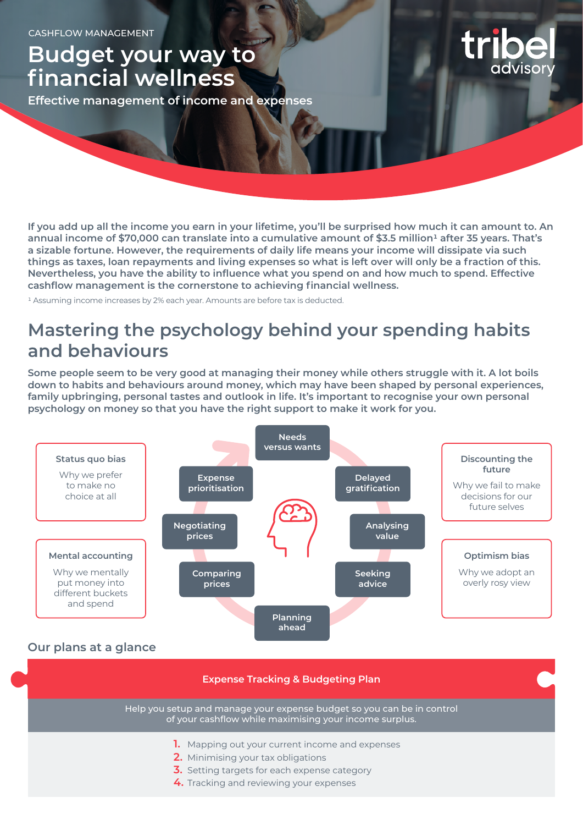# **Budget your way to financial wellness**

**Effective management of income and expenses**

**If you add up all the income you earn in your lifetime, you'll be surprised how much it can amount to. An**  annual income of \$70,000 can translate into a cumulative amount of \$3.5 million<sup>1</sup> after 35 years. That's **a sizable fortune. However, the requirements of daily life means your income will dissipate via such things as taxes, loan repayments and living expenses so what is left over will only be a fraction of this. Nevertheless, you have the ability to influence what you spend on and how much to spend. Effective cashflow management is the cornerstone to achieving financial wellness.**

1 Assuming income increases by 2% each year. Amounts are before tax is deducted.

### **Mastering the psychology behind your spending habits and behaviours**

**Some people seem to be very good at managing their money while others struggle with it. A lot boils down to habits and behaviours around money, which may have been shaped by personal experiences, family upbringing, personal tastes and outlook in life. It's important to recognise your own personal psychology on money so that you have the right support to make it work for you.**



Help you setup and manage your expense budget so you can be in control of your cashflow while maximising your income surplus.

- **1.** Mapping out your current income and expenses
- **2.** Minimising your tax obligations
- **3.** Setting targets for each expense category
- **4.** Tracking and reviewing your expenses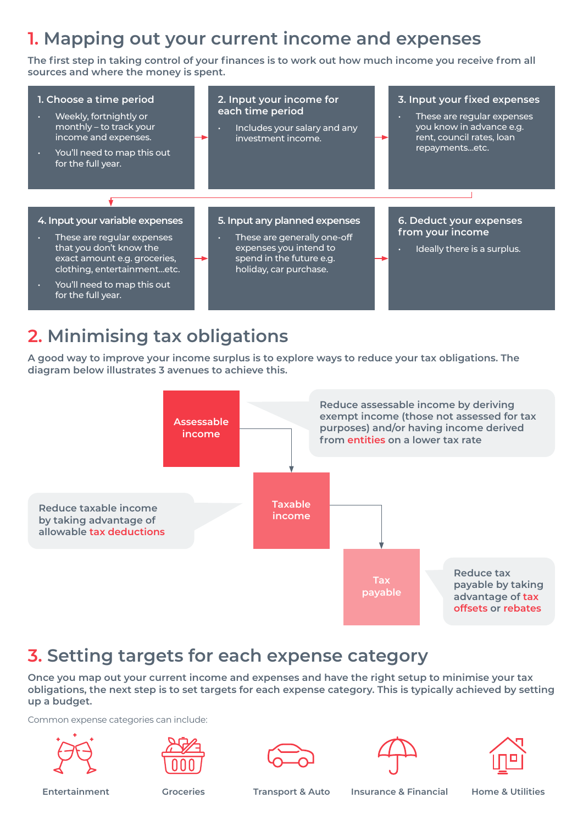## **1. Mapping out your current income and expenses**

**The first step in taking control of your finances is to work out how much income you receive from all sources and where the money is spent.** 



# **2. Minimising tax obligations**

**A good way to improve your income surplus is to explore ways to reduce your tax obligations. The diagram below illustrates 3 avenues to achieve this.**



### **3. Setting targets for each expense category**

**Once you map out your current income and expenses and have the right setup to minimise your tax obligations, the next step is to set targets for each expense category. This is typically achieved by setting up a budget.**

Common expense categories can include:









**Entertainment Groceries Transport & Auto Insurance & Financial Home & Utilities**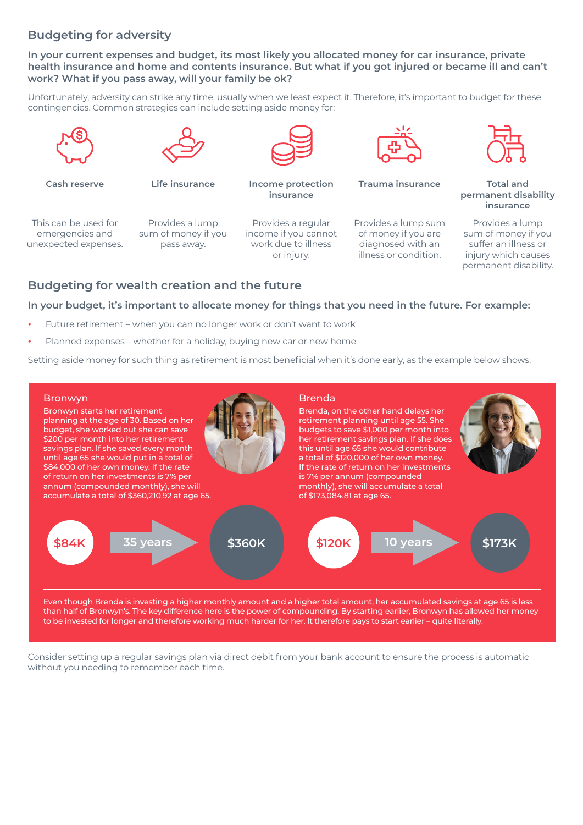### **Budgeting for adversity**

**In your current expenses and budget, its most likely you allocated money for car insurance, private health insurance and home and contents insurance. But what if you got injured or became ill and can't work? What if you pass away, will your family be ok?** 

Unfortunately, adversity can strike any time, usually when we least expect it. Therefore, it's important to budget for these contingencies. Common strategies can include setting aside money for:



This can be used for emergencies and unexpected expenses.

Provides a lump sum of money if you pass away.



**Cash reserve Life insurance Income protection insurance**

Provides a regular income if you cannot work due to illness or injury.



**Trauma insurance Total and** 

Provides a lump sum of money if you are diagnosed with an illness or condition.



**permanent disability insurance**

Provides a lump sum of money if you suffer an illness or injury which causes permanent disability.

### **Budgeting for wealth creation and the future**

#### **In your budget, it's important to allocate money for things that you need in the future. For example:**

- **•** Future retirement when you can no longer work or don't want to work
- **•** Planned expenses whether for a holiday, buying new car or new home

Setting aside money for such thing as retirement is most beneficial when it's done early, as the example below shows:



Even though Brenda is investing a higher monthly amount and a higher total amount, her accumulated savings at age 65 is less than half of Bronwyn's. The key difference here is the power of compounding. By starting earlier, Bronwyn has allowed her money to be invested for longer and therefore working much harder for her. It therefore pays to start earlier – quite literally.

Consider setting up a regular savings plan via direct debit from your bank account to ensure the process is automatic without you needing to remember each time.